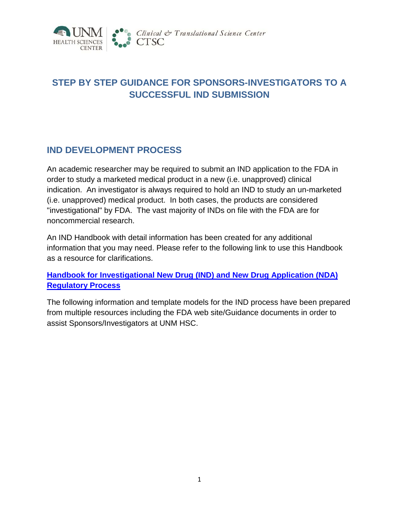

# **STEP BY STEP GUIDANCE FOR SPONSORS-INVESTIGATORS TO A SUCCESSFUL IND SUBMISSION**

# **IND DEVELOPMENT PROCESS**

An academic researcher may be required to submit an IND application to the FDA in order to study a marketed medical product in a new (i.e. unapproved) clinical indication. An investigator is always required to hold an IND to study an un-marketed (i.e. unapproved) medical product. In both cases, the products are considered "investigational" by FDA. The vast majority of INDs on file with the FDA are for noncommercial research.

An IND Handbook with detail information has been created for any additional information that you may need. Please refer to the following link to use this Handbook as a resource for clarifications.

**Handbook for Investigational New Drug (IND) and New Drug Application (NDA) Regulatory Process**

The following information and template models for the IND process have been prepared from multiple resources including the FDA web site/Guidance documents in order to assist Sponsors/Investigators at UNM HSC.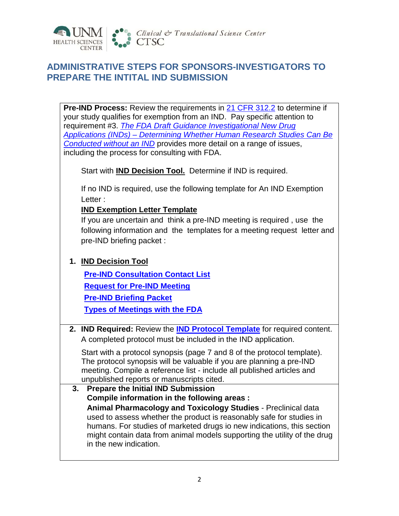

# **ADMINISTRATIVE STEPS FOR SPONSORS-INVESTIGATORS TO PREPARE THE INTITAL IND SUBMISSION**

**Pre-IND Process:** Review the requirements in [21 CFR 312.2](http://www.accessdata.fda.gov/scripts/cdrh/cfdocs/cfcfr/CFRSearch.cfm?fr=312.2) to determine if your study qualifies for exemption from an IND. Pay specific attention to requirement #3. *[The FDA Draft Guidance Investigational New Drug](http://www.fda.gov/downloads/Drugs/.../Guidances/UCM229175.pdf)  Applications (INDs) – [Determining Whether Human Research Studies Can Be](http://www.fda.gov/downloads/Drugs/.../Guidances/UCM229175.pdf)  [Conducted without an IND](http://www.fda.gov/downloads/Drugs/.../Guidances/UCM229175.pdf)* provides more detail on a range of issues, including the process for consulting with FDA.

Start with **IND Decision Tool.** Determine if IND is required.

If no IND is required, use the following template for An IND Exemption Letter :

#### **IND Exemption Letter Template**

If you are uncertain and think a pre-IND meeting is required , use the following information and the templates for a meeting request letter and pre-IND briefing packet :

#### **1. IND Decision Tool**

**[Pre-IND Consultation Contact List](http://www.fda.gov/downloads/Drugs/DevelopmentApprovalProcess/HowDrugsareDevelopedandApproved/ApprovalApplications/InvestigationalNewDrugINDApplication/Overview/UCM166356.pdf) Request for Pre-IND Meeting Pre-IND Briefing Packet [Types of Meetings with the FDA](http://www.fda.gov/downloads/Drugs/GuidanceComplianceRegulatoryInformation/Guidances/UCM153222.pdf)**

**2. IND Required:** Review the **IND Protocol Template** for required content. A completed protocol must be included in the IND application.

Start with a protocol synopsis (page 7 and 8 of the protocol template). The protocol synopsis will be valuable if you are planning a pre-IND meeting. Compile a reference list - include all published articles and unpublished reports or manuscripts cited.

**3. Prepare the Initial IND Submission Compile information in the following areas : Animal Pharmacology and Toxicology Studies** - Preclinical data used to assess whether the product is reasonably safe for studies in humans. For studies of marketed drugs io new indications, this section might contain data from animal models supporting the utility of the drug in the new indication.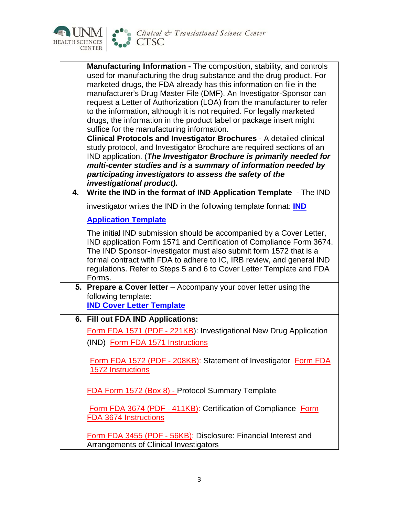

|    | <b>Manufacturing Information - The composition, stability, and controls</b><br>used for manufacturing the drug substance and the drug product. For<br>marketed drugs, the FDA already has this information on file in the<br>manufacturer's Drug Master File (DMF). An Investigator-Sponsor can<br>request a Letter of Authorization (LOA) from the manufacturer to refer<br>to the information, although it is not required. For legally marketed<br>drugs, the information in the product label or package insert might<br>suffice for the manufacturing information.<br>Clinical Protocols and Investigator Brochures - A detailed clinical<br>study protocol, and Investigator Brochure are required sections of an<br>IND application. (The Investigator Brochure is primarily needed for<br>multi-center studies and is a summary of information needed by<br>participating investigators to assess the safety of the<br>investigational product). |
|----|----------------------------------------------------------------------------------------------------------------------------------------------------------------------------------------------------------------------------------------------------------------------------------------------------------------------------------------------------------------------------------------------------------------------------------------------------------------------------------------------------------------------------------------------------------------------------------------------------------------------------------------------------------------------------------------------------------------------------------------------------------------------------------------------------------------------------------------------------------------------------------------------------------------------------------------------------------|
| 4. | Write the IND in the format of IND Application Template - The IND                                                                                                                                                                                                                                                                                                                                                                                                                                                                                                                                                                                                                                                                                                                                                                                                                                                                                        |
|    | investigator writes the IND in the following template format: IND                                                                                                                                                                                                                                                                                                                                                                                                                                                                                                                                                                                                                                                                                                                                                                                                                                                                                        |
|    | <b>Application Template</b>                                                                                                                                                                                                                                                                                                                                                                                                                                                                                                                                                                                                                                                                                                                                                                                                                                                                                                                              |
|    | The initial IND submission should be accompanied by a Cover Letter,<br>IND application Form 1571 and Certification of Compliance Form 3674.<br>The IND Sponsor-Investigator must also submit form 1572 that is a<br>formal contract with FDA to adhere to IC, IRB review, and general IND<br>regulations. Refer to Steps 5 and 6 to Cover Letter Template and FDA<br>Forms.                                                                                                                                                                                                                                                                                                                                                                                                                                                                                                                                                                              |
|    | 5. Prepare a Cover letter - Accompany your cover letter using the                                                                                                                                                                                                                                                                                                                                                                                                                                                                                                                                                                                                                                                                                                                                                                                                                                                                                        |
|    | following template:<br><b>IND Cover Letter Template</b>                                                                                                                                                                                                                                                                                                                                                                                                                                                                                                                                                                                                                                                                                                                                                                                                                                                                                                  |
|    | 6. Fill out FDA IND Applications:                                                                                                                                                                                                                                                                                                                                                                                                                                                                                                                                                                                                                                                                                                                                                                                                                                                                                                                        |
|    | Form FDA 1571 (PDF - 221KB): Investigational New Drug Application<br>(IND) Form FDA 1571 Instructions                                                                                                                                                                                                                                                                                                                                                                                                                                                                                                                                                                                                                                                                                                                                                                                                                                                    |
|    | Form FDA 1572 (PDF - 208KB): Statement of Investigator Form FDA<br>1572 Instructions                                                                                                                                                                                                                                                                                                                                                                                                                                                                                                                                                                                                                                                                                                                                                                                                                                                                     |
|    | <b>FDA Form 1572 (Box 8) - Protocol Summary Template</b>                                                                                                                                                                                                                                                                                                                                                                                                                                                                                                                                                                                                                                                                                                                                                                                                                                                                                                 |
|    | Form FDA 3674 (PDF - 411KB): Certification of Compliance Form<br><b>FDA 3674 Instructions</b>                                                                                                                                                                                                                                                                                                                                                                                                                                                                                                                                                                                                                                                                                                                                                                                                                                                            |
|    | Form FDA 3455 (PDF - 56KB): Disclosure: Financial Interest and<br>Arrangements of Clinical Investigators                                                                                                                                                                                                                                                                                                                                                                                                                                                                                                                                                                                                                                                                                                                                                                                                                                                 |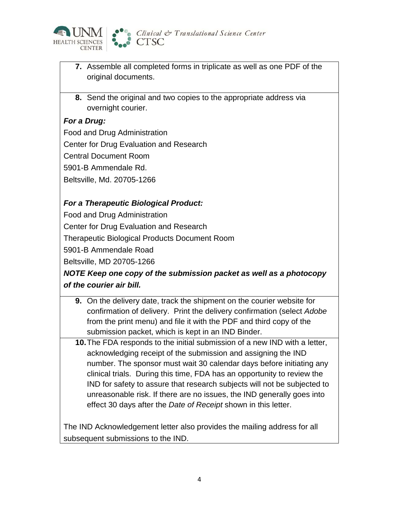

- **7.** Assemble all completed forms in triplicate as well as one PDF of the original documents.
- **8.** Send the original and two copies to the appropriate address via overnight courier.

### *For a Drug:*

Food and Drug Administration Center for Drug Evaluation and Research Central Document Room 5901-B Ammendale Rd. Beltsville, Md. 20705-1266

### *For a Therapeutic Biological Product:*

Food and Drug Administration

Center for Drug Evaluation and Research

Therapeutic Biological Products Document Room

5901-B Ammendale Road

Beltsville, MD 20705-1266

## *NOTE Keep one copy of the submission packet as well as a photocopy of the courier air bill.*

- **9.** On the delivery date, track the shipment on the courier website for confirmation of delivery. Print the delivery confirmation (select *Adobe* from the print menu) and file it with the PDF and third copy of the submission packet, which is kept in an IND Binder.
- **10.**The FDA responds to the initial submission of a new IND with a letter, acknowledging receipt of the submission and assigning the IND number. The sponsor must wait 30 calendar days before initiating any clinical trials. During this time, FDA has an opportunity to review the IND for safety to assure that research subjects will not be subjected to unreasonable risk. If there are no issues, the IND generally goes into effect 30 days after the *Date of Receipt* shown in this letter.

The IND Acknowledgement letter also provides the mailing address for all subsequent submissions to the IND.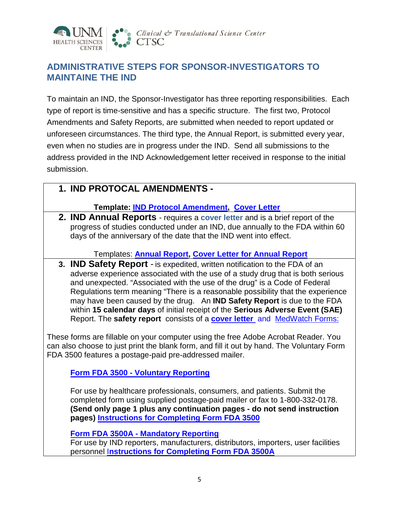

# **ADMINISTRATIVE STEPS FOR SPONSOR-INVESTIGATORS TO MAINTAINE THE IND**

To maintain an IND, the Sponsor-Investigator has three reporting responsibilities. Each type of report is time-sensitive and has a specific structure. The first two, Protocol Amendments and Safety Reports, are submitted when needed to report updated or unforeseen circumstances. The third type, the Annual Report, is submitted every year, even when no studies are in progress under the IND. Send all submissions to the address provided in the IND Acknowledgement letter received in response to the initial submission.

## **1. IND PROTOCAL AMENDMENTS -**

#### **Template: IND Protocol Amendment, Cover Letter**

**2. IND Annual Reports** - requires a **cover letter** and is a brief report of the progress of studies conducted under an IND, due annually to the FDA within 60 days of the anniversary of the date that the IND went into effect.

Templates: **Annual Report, Cover Letter for Annual Report**

**3. IND Safety Report** - is expedited, written notification to the FDA of an adverse experience associated with the use of a study drug that is both serious and unexpected. "Associated with the use of the drug" is a Code of Federal Regulations term meaning "There is a reasonable possibility that the experience may have been caused by the drug. An **IND Safety Report** is due to the FDA within **15 calendar days** of initial receipt of the **Serious Adverse Event (SAE)** Report. The **safety report** consists of a **cover letter** and [MedWatch Forms:](http://www.fda.gov/Safety/MedWatch/HowToReport/DownloadForms/default.htm)

These forms are fillable on your computer using the free Adobe Acrobat Reader. You can also choose to just print the blank form, and fill it out by hand. The Voluntary Form FDA 3500 features a postage-paid pre-addressed mailer.

**Form FDA 3500 - [Voluntary Reporting](http://www.fda.gov/downloads/Safety/MedWatch/HowToReport/DownloadForms/ucm082725.pdf)**

For use by healthcare professionals, consumers, and patients. Submit the completed form using supplied postage-paid mailer or fax to 1-800-332-0178. **(Send only page 1 plus any continuation pages - do not send instruction pages) [Instructions for Completing Form FDA 3500](http://www.fda.gov/Safety/MedWatch/HowToReport/DownloadForms/ucm149236.htm)**

**Form FDA 3500A - [Mandatory Reporting](http://www.fda.gov/downloads/Safety/MedWatch/HowToReport/DownloadForms/ucm082728.pdf)**

For use by IND reporters, manufacturers, distributors, importers, user facilities personnel I**[nstructions for Completing Form FDA 3500A](http://www.fda.gov/Safety/MedWatch/HowToReport/DownloadForms/ucm149238.htm)**